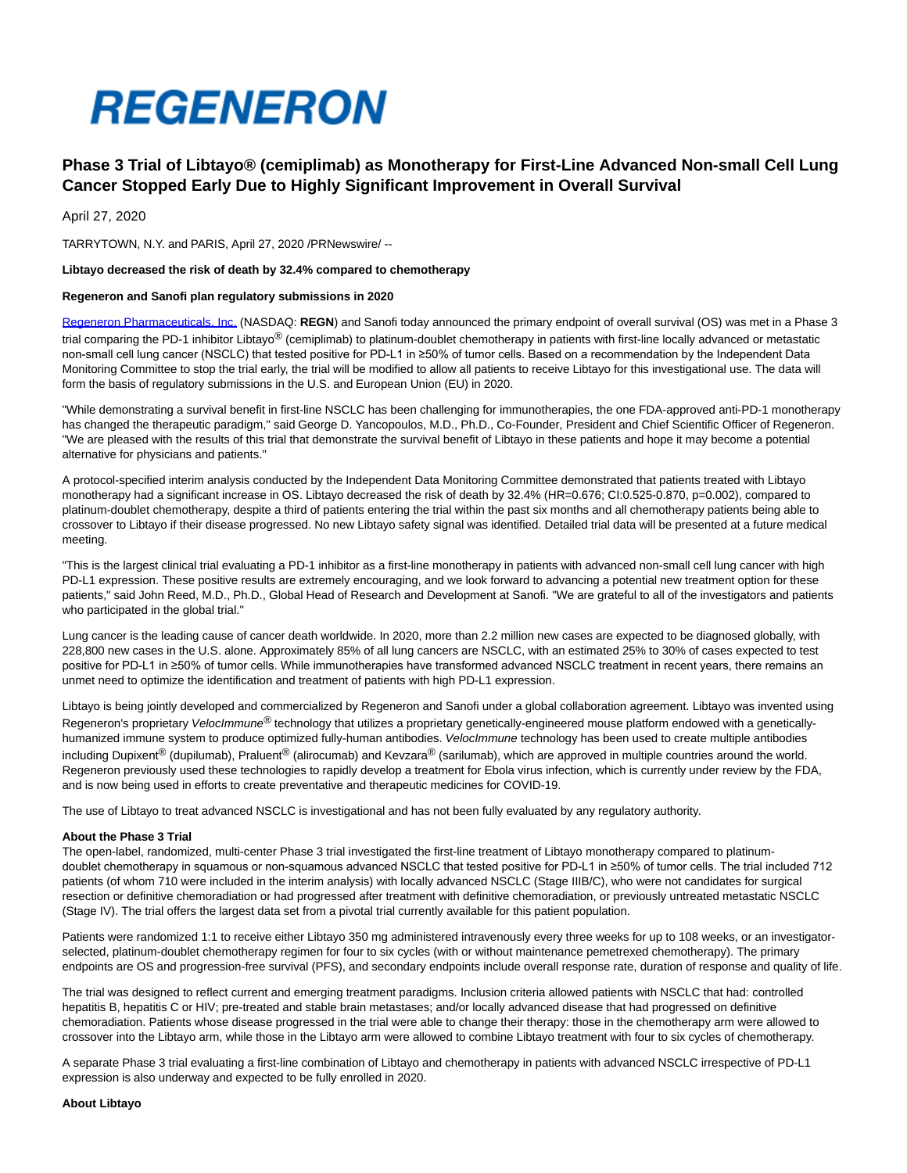# **REGENERON**

# **Phase 3 Trial of Libtayo® (cemiplimab) as Monotherapy for First-Line Advanced Non-small Cell Lung Cancer Stopped Early Due to Highly Significant Improvement in Overall Survival**

April 27, 2020

TARRYTOWN, N.Y. and PARIS, April 27, 2020 /PRNewswire/ --

# **Libtayo decreased the risk of death by 32.4% compared to chemotherapy**

#### **Regeneron and Sanofi plan regulatory submissions in 2020**

[Regeneron Pharmaceuticals, Inc. \(](https://c212.net/c/link/?t=0&l=en&o=2786915-1&h=2281959771&u=http%3A%2F%2Fregeneron.com%2F&a=Regeneron+Pharmaceuticals%2C+Inc.)NASDAQ: **REGN**) and Sanofi today announced the primary endpoint of overall survival (OS) was met in a Phase 3 trial comparing the PD-1 inhibitor Libtayo® (cemiplimab) to platinum-doublet chemotherapy in patients with first-line locally advanced or metastatic non-small cell lung cancer (NSCLC) that tested positive for PD-L1 in ≥50% of tumor cells. Based on a recommendation by the Independent Data Monitoring Committee to stop the trial early, the trial will be modified to allow all patients to receive Libtayo for this investigational use. The data will form the basis of regulatory submissions in the U.S. and European Union (EU) in 2020.

"While demonstrating a survival benefit in first-line NSCLC has been challenging for immunotherapies, the one FDA-approved anti-PD-1 monotherapy has changed the therapeutic paradigm," said George D. Yancopoulos, M.D., Ph.D., Co-Founder, President and Chief Scientific Officer of Regeneron. "We are pleased with the results of this trial that demonstrate the survival benefit of Libtayo in these patients and hope it may become a potential alternative for physicians and patients."

A protocol-specified interim analysis conducted by the Independent Data Monitoring Committee demonstrated that patients treated with Libtayo monotherapy had a significant increase in OS. Libtayo decreased the risk of death by 32.4% (HR=0.676; CI:0.525-0.870, p=0.002), compared to platinum-doublet chemotherapy, despite a third of patients entering the trial within the past six months and all chemotherapy patients being able to crossover to Libtayo if their disease progressed. No new Libtayo safety signal was identified. Detailed trial data will be presented at a future medical meeting.

"This is the largest clinical trial evaluating a PD-1 inhibitor as a first-line monotherapy in patients with advanced non-small cell lung cancer with high PD-L1 expression. These positive results are extremely encouraging, and we look forward to advancing a potential new treatment option for these patients," said John Reed, M.D., Ph.D., Global Head of Research and Development at Sanofi. "We are grateful to all of the investigators and patients who participated in the global trial."

Lung cancer is the leading cause of cancer death worldwide. In 2020, more than 2.2 million new cases are expected to be diagnosed globally, with 228,800 new cases in the U.S. alone. Approximately 85% of all lung cancers are NSCLC, with an estimated 25% to 30% of cases expected to test positive for PD-L1 in ≥50% of tumor cells. While immunotherapies have transformed advanced NSCLC treatment in recent years, there remains an unmet need to optimize the identification and treatment of patients with high PD-L1 expression.

Libtayo is being jointly developed and commercialized by Regeneron and Sanofi under a global collaboration agreement. Libtayo was invented using Regeneron's proprietary Veloclmmune<sup>®</sup> technology that utilizes a proprietary genetically-engineered mouse platform endowed with a geneticallyhumanized immune system to produce optimized fully-human antibodies. Velocimmune technology has been used to create multiple antibodies including Dupixent<sup>®</sup> (dupilumab), Praluent<sup>®</sup> (alirocumab) and Kevzara<sup>®</sup> (sarilumab), which are approved in multiple countries around the world. Regeneron previously used these technologies to rapidly develop a treatment for Ebola virus infection, which is currently under review by the FDA, and is now being used in efforts to create preventative and therapeutic medicines for COVID-19.

The use of Libtayo to treat advanced NSCLC is investigational and has not been fully evaluated by any regulatory authority.

#### **About the Phase 3 Trial**

The open-label, randomized, multi-center Phase 3 trial investigated the first-line treatment of Libtayo monotherapy compared to platinumdoublet chemotherapy in squamous or non-squamous advanced NSCLC that tested positive for PD-L1 in ≥50% of tumor cells. The trial included 712 patients (of whom 710 were included in the interim analysis) with locally advanced NSCLC (Stage IIIB/C), who were not candidates for surgical resection or definitive chemoradiation or had progressed after treatment with definitive chemoradiation, or previously untreated metastatic NSCLC (Stage IV). The trial offers the largest data set from a pivotal trial currently available for this patient population.

Patients were randomized 1:1 to receive either Libtayo 350 mg administered intravenously every three weeks for up to 108 weeks, or an investigatorselected, platinum-doublet chemotherapy regimen for four to six cycles (with or without maintenance pemetrexed chemotherapy). The primary endpoints are OS and progression-free survival (PFS), and secondary endpoints include overall response rate, duration of response and quality of life.

The trial was designed to reflect current and emerging treatment paradigms. Inclusion criteria allowed patients with NSCLC that had: controlled hepatitis B, hepatitis C or HIV; pre-treated and stable brain metastases; and/or locally advanced disease that had progressed on definitive chemoradiation. Patients whose disease progressed in the trial were able to change their therapy: those in the chemotherapy arm were allowed to crossover into the Libtayo arm, while those in the Libtayo arm were allowed to combine Libtayo treatment with four to six cycles of chemotherapy.

A separate Phase 3 trial evaluating a first-line combination of Libtayo and chemotherapy in patients with advanced NSCLC irrespective of PD-L1 expression is also underway and expected to be fully enrolled in 2020.

#### **About Libtayo**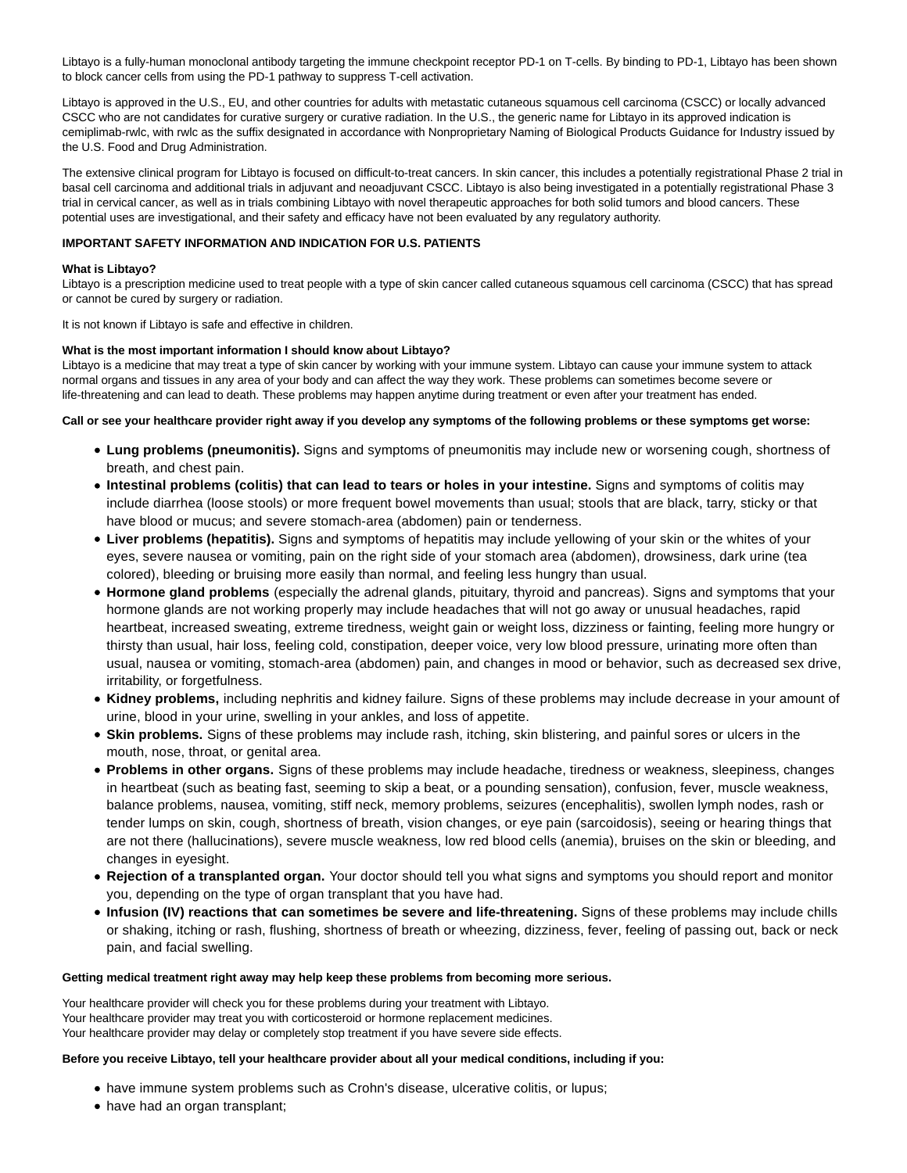Libtayo is a fully-human monoclonal antibody targeting the immune checkpoint receptor PD-1 on T-cells. By binding to PD-1, Libtayo has been shown to block cancer cells from using the PD-1 pathway to suppress T-cell activation.

Libtayo is approved in the U.S., EU, and other countries for adults with metastatic cutaneous squamous cell carcinoma (CSCC) or locally advanced CSCC who are not candidates for curative surgery or curative radiation. In the U.S., the generic name for Libtayo in its approved indication is cemiplimab-rwlc, with rwlc as the suffix designated in accordance with Nonproprietary Naming of Biological Products Guidance for Industry issued by the U.S. Food and Drug Administration.

The extensive clinical program for Libtayo is focused on difficult-to-treat cancers. In skin cancer, this includes a potentially registrational Phase 2 trial in basal cell carcinoma and additional trials in adjuvant and neoadjuvant CSCC. Libtayo is also being investigated in a potentially registrational Phase 3 trial in cervical cancer, as well as in trials combining Libtayo with novel therapeutic approaches for both solid tumors and blood cancers. These potential uses are investigational, and their safety and efficacy have not been evaluated by any regulatory authority.

# **IMPORTANT SAFETY INFORMATION AND INDICATION FOR U.S. PATIENTS**

# **What is Libtayo?**

Libtayo is a prescription medicine used to treat people with a type of skin cancer called cutaneous squamous cell carcinoma (CSCC) that has spread or cannot be cured by surgery or radiation.

It is not known if Libtayo is safe and effective in children.

# **What is the most important information I should know about Libtayo?**

Libtayo is a medicine that may treat a type of skin cancer by working with your immune system. Libtayo can cause your immune system to attack normal organs and tissues in any area of your body and can affect the way they work. These problems can sometimes become severe or life-threatening and can lead to death. These problems may happen anytime during treatment or even after your treatment has ended.

#### **Call or see your healthcare provider right away if you develop any symptoms of the following problems or these symptoms get worse:**

- **Lung problems (pneumonitis).** Signs and symptoms of pneumonitis may include new or worsening cough, shortness of breath, and chest pain.
- **Intestinal problems (colitis) that can lead to tears or holes in your intestine.** Signs and symptoms of colitis may include diarrhea (loose stools) or more frequent bowel movements than usual; stools that are black, tarry, sticky or that have blood or mucus; and severe stomach-area (abdomen) pain or tenderness.
- **Liver problems (hepatitis).** Signs and symptoms of hepatitis may include yellowing of your skin or the whites of your eyes, severe nausea or vomiting, pain on the right side of your stomach area (abdomen), drowsiness, dark urine (tea colored), bleeding or bruising more easily than normal, and feeling less hungry than usual.
- **Hormone gland problems** (especially the adrenal glands, pituitary, thyroid and pancreas). Signs and symptoms that your hormone glands are not working properly may include headaches that will not go away or unusual headaches, rapid heartbeat, increased sweating, extreme tiredness, weight gain or weight loss, dizziness or fainting, feeling more hungry or thirsty than usual, hair loss, feeling cold, constipation, deeper voice, very low blood pressure, urinating more often than usual, nausea or vomiting, stomach-area (abdomen) pain, and changes in mood or behavior, such as decreased sex drive, irritability, or forgetfulness.
- **Kidney problems,** including nephritis and kidney failure. Signs of these problems may include decrease in your amount of urine, blood in your urine, swelling in your ankles, and loss of appetite.
- **Skin problems.** Signs of these problems may include rash, itching, skin blistering, and painful sores or ulcers in the mouth, nose, throat, or genital area.
- **Problems in other organs.** Signs of these problems may include headache, tiredness or weakness, sleepiness, changes in heartbeat (such as beating fast, seeming to skip a beat, or a pounding sensation), confusion, fever, muscle weakness, balance problems, nausea, vomiting, stiff neck, memory problems, seizures (encephalitis), swollen lymph nodes, rash or tender lumps on skin, cough, shortness of breath, vision changes, or eye pain (sarcoidosis), seeing or hearing things that are not there (hallucinations), severe muscle weakness, low red blood cells (anemia), bruises on the skin or bleeding, and changes in eyesight.
- **Rejection of a transplanted organ.** Your doctor should tell you what signs and symptoms you should report and monitor you, depending on the type of organ transplant that you have had.
- **Infusion (IV) reactions that can sometimes be severe and life-threatening.** Signs of these problems may include chills or shaking, itching or rash, flushing, shortness of breath or wheezing, dizziness, fever, feeling of passing out, back or neck pain, and facial swelling.

#### **Getting medical treatment right away may help keep these problems from becoming more serious.**

Your healthcare provider will check you for these problems during your treatment with Libtayo. Your healthcare provider may treat you with corticosteroid or hormone replacement medicines. Your healthcare provider may delay or completely stop treatment if you have severe side effects.

# **Before you receive Libtayo, tell your healthcare provider about all your medical conditions, including if you:**

- have immune system problems such as Crohn's disease, ulcerative colitis, or lupus;
- have had an organ transplant;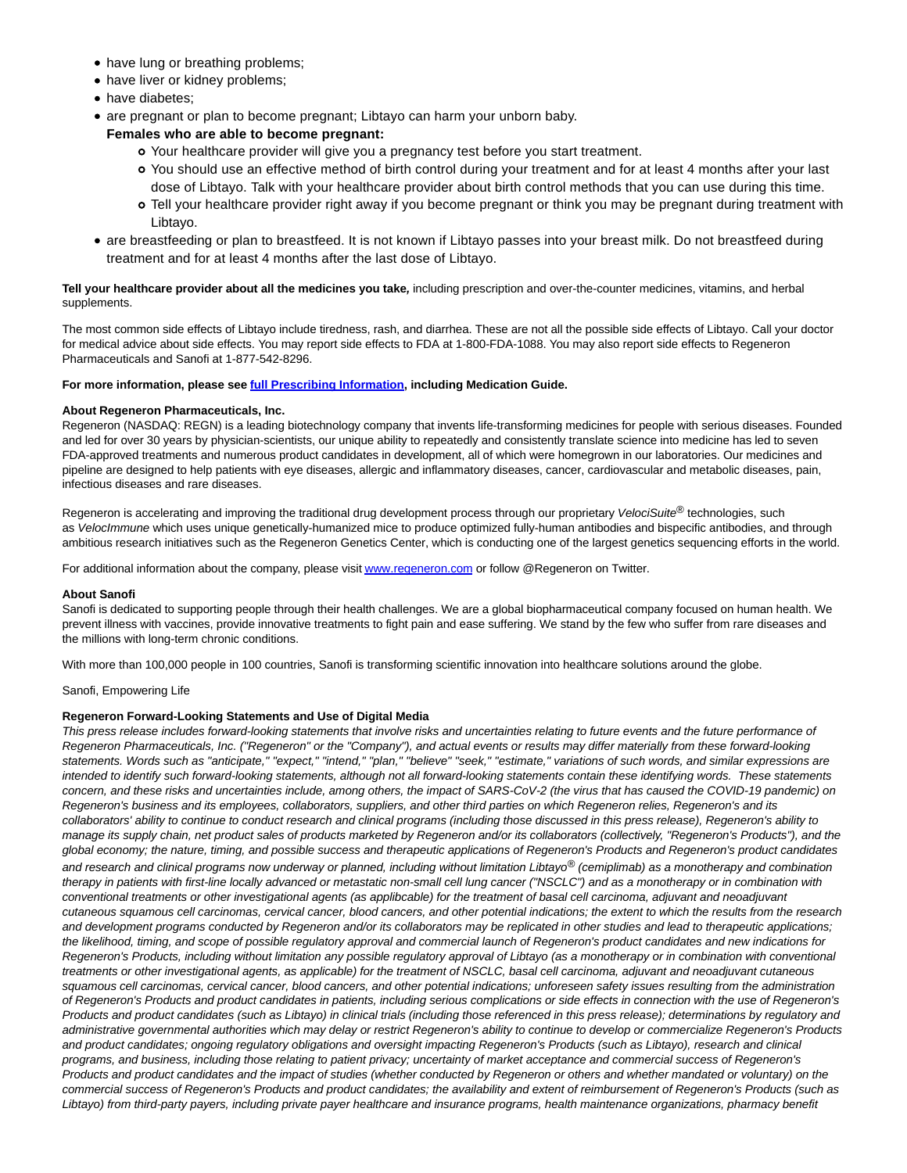- have lung or breathing problems;
- have liver or kidney problems;
- have diabetes;
- are pregnant or plan to become pregnant; Libtayo can harm your unborn baby.

# **Females who are able to become pregnant:**

- Your healthcare provider will give you a pregnancy test before you start treatment.
- You should use an effective method of birth control during your treatment and for at least 4 months after your last dose of Libtayo. Talk with your healthcare provider about birth control methods that you can use during this time.
- Tell your healthcare provider right away if you become pregnant or think you may be pregnant during treatment with Libtayo.
- are breastfeeding or plan to breastfeed. It is not known if Libtayo passes into your breast milk. Do not breastfeed during treatment and for at least 4 months after the last dose of Libtayo.

**Tell your healthcare provider about all the medicines you take,** including prescription and over-the-counter medicines, vitamins, and herbal supplements.

The most common side effects of Libtayo include tiredness, rash, and diarrhea. These are not all the possible side effects of Libtayo. Call your doctor for medical advice about side effects. You may report side effects to FDA at 1-800-FDA-1088. You may also report side effects to Regeneron Pharmaceuticals and Sanofi at 1-877-542-8296.

# **For more information, please see [full Prescribing Information,](https://c212.net/c/link/?t=0&l=en&o=2786915-1&h=1509622678&u=https%3A%2F%2Fwww.regeneron.com%2Fsites%2Fdefault%2Ffiles%2FLibtayo_FPI.pdf&a=full+Prescribing+Information) including Medication Guide.**

#### **About Regeneron Pharmaceuticals, Inc.**

Regeneron (NASDAQ: REGN) is a leading biotechnology company that invents life-transforming medicines for people with serious diseases. Founded and led for over 30 years by physician-scientists, our unique ability to repeatedly and consistently translate science into medicine has led to seven FDA-approved treatments and numerous product candidates in development, all of which were homegrown in our laboratories. Our medicines and pipeline are designed to help patients with eye diseases, allergic and inflammatory diseases, cancer, cardiovascular and metabolic diseases, pain, infectious diseases and rare diseases.

Regeneron is accelerating and improving the traditional drug development process through our proprietary VelociSuite® technologies, such as VelocImmune which uses unique genetically-humanized mice to produce optimized fully-human antibodies and bispecific antibodies, and through ambitious research initiatives such as the Regeneron Genetics Center, which is conducting one of the largest genetics sequencing efforts in the world.

For additional information about the company, please visi[t www.regeneron.com o](https://c212.net/c/link/?t=0&l=en&o=2786915-1&h=1246577762&u=http%3A%2F%2Fwww.regeneron.com%2F&a=www.regeneron.com)r follow @Regeneron on Twitter.

#### **About Sanofi**

Sanofi is dedicated to supporting people through their health challenges. We are a global biopharmaceutical company focused on human health. We prevent illness with vaccines, provide innovative treatments to fight pain and ease suffering. We stand by the few who suffer from rare diseases and the millions with long-term chronic conditions.

With more than 100,000 people in 100 countries, Sanofi is transforming scientific innovation into healthcare solutions around the globe.

#### Sanofi, Empowering Life

# **Regeneron Forward-Looking Statements and Use of Digital Media**

This press release includes forward-looking statements that involve risks and uncertainties relating to future events and the future performance of Regeneron Pharmaceuticals, Inc. ("Regeneron" or the "Company"), and actual events or results may differ materially from these forward-looking statements. Words such as "anticipate," "expect," "intend," "plan," "believe" "seek," "estimate," variations of such words, and similar expressions are intended to identify such forward-looking statements, although not all forward-looking statements contain these identifying words. These statements concern, and these risks and uncertainties include, among others, the impact of SARS-CoV-2 (the virus that has caused the COVID-19 pandemic) on Regeneron's business and its employees, collaborators, suppliers, and other third parties on which Regeneron relies, Regeneron's and its collaborators' ability to continue to conduct research and clinical programs (including those discussed in this press release), Regeneron's ability to manage its supply chain, net product sales of products marketed by Regeneron and/or its collaborators (collectively, "Regeneron's Products"), and the global economy; the nature, timing, and possible success and therapeutic applications of Regeneron's Products and Regeneron's product candidates and research and clinical programs now underway or planned, including without limitation Libtayo® (cemiplimab) as a monotherapy and combination therapy in patients with first-line locally advanced or metastatic non-small cell lung cancer ("NSCLC") and as a monotherapy or in combination with conventional treatments or other investigational agents (as applibcable) for the treatment of basal cell carcinoma, adjuvant and neoadjuvant cutaneous squamous cell carcinomas, cervical cancer, blood cancers, and other potential indications; the extent to which the results from the research and development programs conducted by Regeneron and/or its collaborators may be replicated in other studies and lead to therapeutic applications; the likelihood, timing, and scope of possible regulatory approval and commercial launch of Regeneron's product candidates and new indications for Regeneron's Products, including without limitation any possible regulatory approval of Libtayo (as a monotherapy or in combination with conventional treatments or other investigational agents, as applicable) for the treatment of NSCLC, basal cell carcinoma, adjuvant and neoadjuvant cutaneous squamous cell carcinomas, cervical cancer, blood cancers, and other potential indications; unforeseen safety issues resulting from the administration of Regeneron's Products and product candidates in patients, including serious complications or side effects in connection with the use of Regeneron's Products and product candidates (such as Libtayo) in clinical trials (including those referenced in this press release); determinations by regulatory and administrative governmental authorities which may delay or restrict Regeneron's ability to continue to develop or commercialize Regeneron's Products and product candidates; ongoing regulatory obligations and oversight impacting Regeneron's Products (such as Libtayo), research and clinical programs, and business, including those relating to patient privacy; uncertainty of market acceptance and commercial success of Regeneron's Products and product candidates and the impact of studies (whether conducted by Regeneron or others and whether mandated or voluntary) on the commercial success of Regeneron's Products and product candidates; the availability and extent of reimbursement of Regeneron's Products (such as Libtayo) from third-party payers, including private payer healthcare and insurance programs, health maintenance organizations, pharmacy benefit